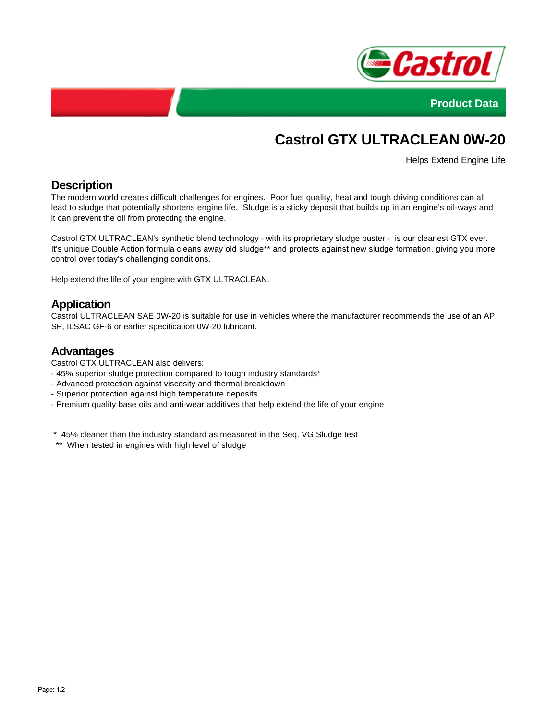



# **Castrol GTX ULTRACLEAN 0W-20**

Helps Extend Engine Life

# **Description**

The modern world creates difficult challenges for engines. Poor fuel quality, heat and tough driving conditions can all lead to sludge that potentially shortens engine life. Sludge is a sticky deposit that builds up in an engine's oil-ways and it can prevent the oil from protecting the engine.

Castrol GTX ULTRACLEAN's synthetic blend technology - with its proprietary sludge buster - is our cleanest GTX ever. It's unique Double Action formula cleans away old sludge\*\* and protects against new sludge formation, giving you more control over today's challenging conditions.

Help extend the life of your engine with GTX ULTRACLEAN.

# **Application**

Castrol ULTRACLEAN SAE 0W-20 is suitable for use in vehicles where the manufacturer recommends the use of an API SP, ILSAC GF-6 or earlier specification 0W-20 lubricant.

#### **Advantages**

Castrol GTX ULTRACLEAN also delivers:

- 45% superior sludge protection compared to tough industry standards\*
- Advanced protection against viscosity and thermal breakdown
- Superior protection against high temperature deposits
- Premium quality base oils and anti-wear additives that help extend the life of your engine

\* 45% cleaner than the industry standard as measured in the Seq. VG Sludge test

\*\* When tested in engines with high level of sludge